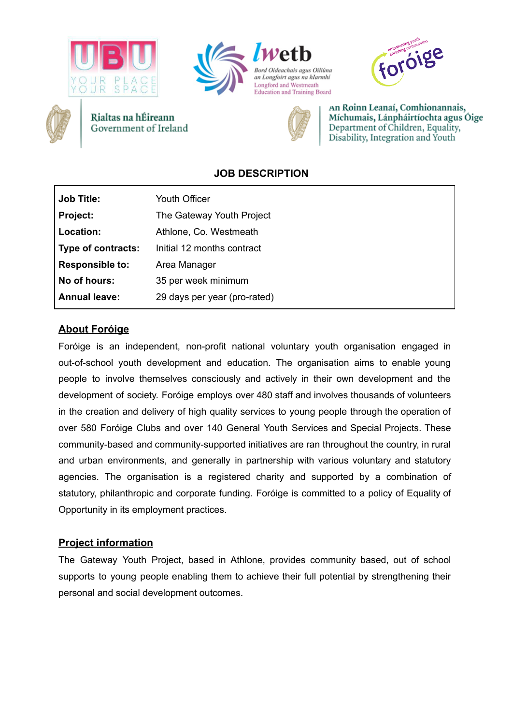







Rialtas na hÉireann Government of Ireland



An Roinn Leanaí, Comhionannais, Míchumais, Lánpháirtíochta agus Óige Department of Children, Equality, Disability, Integration and Youth

# **JOB DESCRIPTION**

| <b>Job Title:</b>      | Youth Officer                |
|------------------------|------------------------------|
| <b>Project:</b>        | The Gateway Youth Project    |
| Location:              | Athlone, Co. Westmeath       |
| Type of contracts:     | Initial 12 months contract   |
| <b>Responsible to:</b> | Area Manager                 |
| No of hours:           | 35 per week minimum          |
| <b>Annual leave:</b>   | 29 days per year (pro-rated) |

# **About Foróige**

Foróige is an independent, non-profit national voluntary youth organisation engaged in out-of-school youth development and education. The organisation aims to enable young people to involve themselves consciously and actively in their own development and the development of society. Foróige employs over 480 staff and involves thousands of volunteers in the creation and delivery of high quality services to young people through the operation of over 580 Foróige Clubs and over 140 General Youth Services and Special Projects. These community-based and community-supported initiatives are ran throughout the country, in rural and urban environments, and generally in partnership with various voluntary and statutory agencies. The organisation is a registered charity and supported by a combination of statutory, philanthropic and corporate funding. Foróige is committed to a policy of Equality of Opportunity in its employment practices.

### **Project information**

The Gateway Youth Project, based in Athlone, provides community based, out of school supports to young people enabling them to achieve their full potential by strengthening their personal and social development outcomes.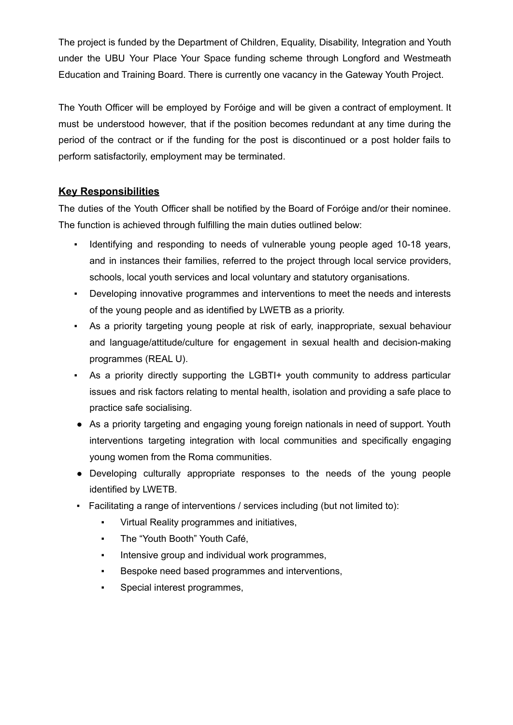The project is funded by the Department of Children, Equality, Disability, Integration and Youth under the UBU Your Place Your Space funding scheme through Longford and Westmeath Education and Training Board. There is currently one vacancy in the Gateway Youth Project.

The Youth Officer will be employed by Foróige and will be given a contract of employment. It must be understood however, that if the position becomes redundant at any time during the period of the contract or if the funding for the post is discontinued or a post holder fails to perform satisfactorily, employment may be terminated.

# **Key Responsibilities**

The duties of the Youth Officer shall be notified by the Board of Foróige and/or their nominee. The function is achieved through fulfilling the main duties outlined below:

- Identifying and responding to needs of vulnerable young people aged 10-18 years, and in instances their families, referred to the project through local service providers, schools, local youth services and local voluntary and statutory organisations.
- Developing innovative programmes and interventions to meet the needs and interests of the young people and as identified by LWETB as a priority.
- As a priority targeting young people at risk of early, inappropriate, sexual behaviour and language/attitude/culture for engagement in sexual health and decision-making programmes (REAL U).
- As a priority directly supporting the LGBTI+ youth community to address particular issues and risk factors relating to mental health, isolation and providing a safe place to practice safe socialising.
- As a priority targeting and engaging young foreign nationals in need of support. Youth interventions targeting integration with local communities and specifically engaging young women from the Roma communities.
- Developing culturally appropriate responses to the needs of the young people identified by LWETB.
- Facilitating a range of interventions / services including (but not limited to):
	- Virtual Reality programmes and initiatives,
	- The "Youth Booth" Youth Café,
	- **•** Intensive group and individual work programmes,
	- Bespoke need based programmes and interventions,
	- Special interest programmes,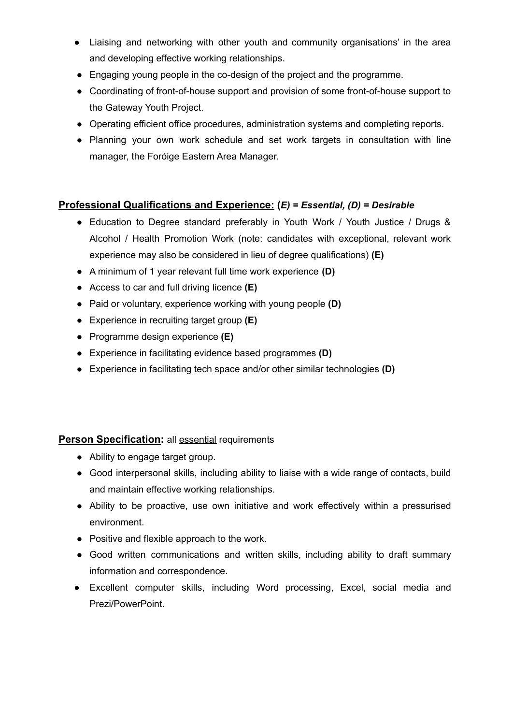- Liaising and networking with other youth and community organisations' in the area and developing effective working relationships.
- Engaging young people in the co-design of the project and the programme.
- Coordinating of front-of-house support and provision of some front-of-house support to the Gateway Youth Project.
- Operating efficient office procedures, administration systems and completing reports.
- Planning your own work schedule and set work targets in consultation with line manager, the Foróige Eastern Area Manager.

### **Professional Qualifications and Experience: (***E) = Essential, (D) = Desirable*

- Education to Degree standard preferably in Youth Work / Youth Justice / Drugs & Alcohol / Health Promotion Work (note: candidates with exceptional, relevant work experience may also be considered in lieu of degree qualifications) **(E)**
- A minimum of 1 year relevant full time work experience **(D)**
- Access to car and full driving licence **(E)**
- Paid or voluntary, experience working with young people **(D)**
- Experience in recruiting target group **(E)**
- Programme design experience **(E)**
- Experience in facilitating evidence based programmes **(D)**
- Experience in facilitating tech space and/or other similar technologies **(D)**

#### **Person Specification:** all **essential requirements**

- Ability to engage target group.
- Good interpersonal skills, including ability to liaise with a wide range of contacts, build and maintain effective working relationships.
- Ability to be proactive, use own initiative and work effectively within a pressurised environment.
- Positive and flexible approach to the work.
- Good written communications and written skills, including ability to draft summary information and correspondence.
- Excellent computer skills, including Word processing, Excel, social media and Prezi/PowerPoint.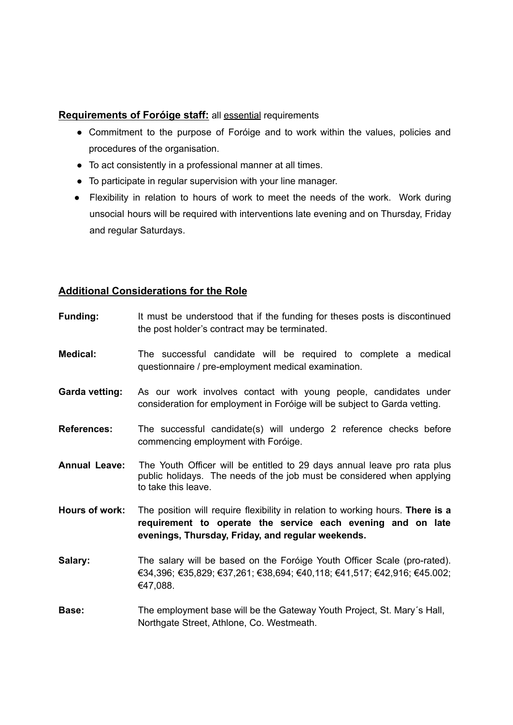#### **Requirements of Foróige staff:** all essential requirements

- Commitment to the purpose of Foróige and to work within the values, policies and procedures of the organisation.
- To act consistently in a professional manner at all times.
- To participate in regular supervision with your line manager.
- Flexibility in relation to hours of work to meet the needs of the work. Work during unsocial hours will be required with interventions late evening and on Thursday, Friday and regular Saturdays.

### **Additional Considerations for the Role**

| <b>Funding:</b>       | It must be understood that if the funding for theses posts is discontinued<br>the post holder's contract may be terminated.                                                                        |
|-----------------------|----------------------------------------------------------------------------------------------------------------------------------------------------------------------------------------------------|
| <b>Medical:</b>       | The successful candidate will be required to complete a medical<br>questionnaire / pre-employment medical examination.                                                                             |
| <b>Garda vetting:</b> | As our work involves contact with young people, candidates under<br>consideration for employment in Foróige will be subject to Garda vetting.                                                      |
| <b>References:</b>    | The successful candidate(s) will undergo 2 reference checks before<br>commencing employment with Foróige.                                                                                          |
| <b>Annual Leave:</b>  | The Youth Officer will be entitled to 29 days annual leave pro rata plus<br>public holidays. The needs of the job must be considered when applying<br>to take this leave.                          |
| Hours of work:        | The position will require flexibility in relation to working hours. There is a<br>requirement to operate the service each evening and on late<br>evenings, Thursday, Friday, and regular weekends. |
| Salary:               | The salary will be based on the Foróige Youth Officer Scale (pro-rated).<br>€34,396; €35,829; €37,261; €38,694; €40,118; €41,517; €42,916; €45.002;<br>€47,088.                                    |
| Base:                 | The employment base will be the Gateway Youth Project, St. Mary's Hall,<br>Northgate Street, Athlone, Co. Westmeath.                                                                               |